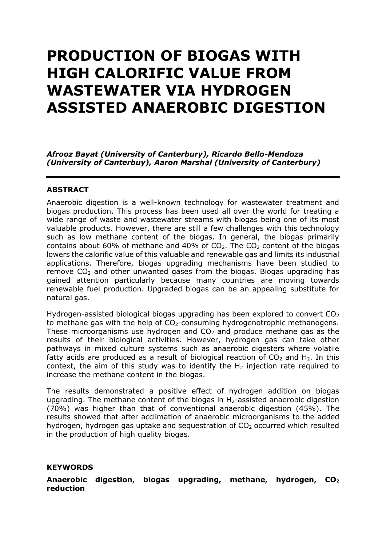# **PRODUCTION OF BIOGAS WITH HIGH CALORIFIC VALUE FROM WASTEWATER VIA HYDROGEN ASSISTED ANAEROBIC DIGESTION**

*Afrooz Bayat (University of Canterbury), Ricardo Bello-Mendoza (University of Canterbuy), Aaron Marshal (University of Canterbury)*

#### **ABSTRACT**

Anaerobic digestion is a well-known technology for wastewater treatment and biogas production. This process has been used all over the world for treating a wide range of waste and wastewater streams with biogas being one of its most valuable products. However, there are still a few challenges with this technology such as low methane content of the biogas. In general, the biogas primarily contains about 60% of methane and 40% of  $CO<sub>2</sub>$ . The  $CO<sub>2</sub>$  content of the biogas lowers the calorific value of this valuable and renewable gas and limits its industrial applications. Therefore, biogas upgrading mechanisms have been studied to remove  $CO<sub>2</sub>$  and other unwanted gases from the biogas. Biogas upgrading has gained attention particularly because many countries are moving towards renewable fuel production. Upgraded biogas can be an appealing substitute for natural gas.

Hydrogen-assisted biological biogas upgrading has been explored to convert  $CO<sub>2</sub>$ to methane gas with the help of  $CO<sub>2</sub>$ -consuming hydrogenotrophic methanogens. These microorganisms use hydrogen and  $CO<sub>2</sub>$  and produce methane gas as the results of their biological activities. However, hydrogen gas can take other pathways in mixed culture systems such as anaerobic digesters where volatile fatty acids are produced as a result of biological reaction of  $CO<sub>2</sub>$  and H<sub>2</sub>. In this context, the aim of this study was to identify the  $H_2$  injection rate required to increase the methane content in the biogas.

The results demonstrated a positive effect of hydrogen addition on biogas upgrading. The methane content of the biogas in  $H_2$ -assisted anaerobic digestion (70%) was higher than that of conventional anaerobic digestion (45%). The results showed that after acclimation of anaerobic microorganisms to the added hydrogen, hydrogen gas uptake and sequestration of  $CO<sub>2</sub>$  occurred which resulted in the production of high quality biogas.

#### **KEYWORDS**

**Anaerobic digestion, biogas upgrading, methane, hydrogen, CO<sup>2</sup> reduction**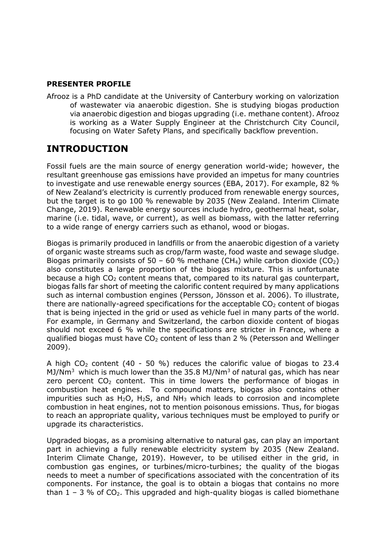## **PRESENTER PROFILE**

Afrooz is a PhD candidate at the University of Canterbury working on valorization of wastewater via anaerobic digestion. She is studying biogas production via anaerobic digestion and biogas upgrading (i.e. methane content). Afrooz is working as a Water Supply Engineer at the Christchurch City Council, focusing on Water Safety Plans, and specifically backflow prevention.

## **INTRODUCTION**

Fossil fuels are the main source of energy generation world-wide; however, the resultant greenhouse gas emissions have provided an impetus for many countries to investigate and use renewable energy sources (EBA, 2017). For example, 82 % of New Zealand's electricity is currently produced from renewable energy sources, but the target is to go 100 % renewable by 2035 (New Zealand. Interim Climate Change, 2019). Renewable energy sources include hydro, geothermal heat, solar, marine (i.e. tidal, wave, or current), as well as biomass, with the latter referring to a wide range of energy carriers such as ethanol, wood or biogas.

Biogas is primarily produced in landfills or from the anaerobic digestion of a variety of organic waste streams such as crop/farm waste, food waste and sewage sludge. Biogas primarily consists of 50 – 60 % methane (CH<sub>4</sub>) while carbon dioxide (CO<sub>2</sub>) also constitutes a large proportion of the biogas mixture. This is unfortunate because a high  $CO<sub>2</sub>$  content means that, compared to its natural gas counterpart, biogas falls far short of meeting the calorific content required by many applications such as internal combustion engines (Persson, Jönsson et al. 2006). To illustrate, there are nationally-agreed specifications for the acceptable  $CO<sub>2</sub>$  content of biogas that is being injected in the grid or used as vehicle fuel in many parts of the world. For example, in Germany and Switzerland, the carbon dioxide content of biogas should not exceed 6 % while the specifications are stricter in France, where a qualified biogas must have  $CO<sub>2</sub>$  content of less than 2 % (Petersson and Wellinger 2009).

A high  $CO<sub>2</sub>$  content (40 - 50 %) reduces the calorific value of biogas to 23.4 MJ/Nm<sup>3</sup> which is much lower than the 35.8 MJ/Nm<sup>3</sup> of natural gas, which has near zero percent  $CO<sub>2</sub>$  content. This in time lowers the performance of biogas in combustion heat engines. To compound matters, biogas also contains other impurities such as  $H_2O$ ,  $H_2S$ , and  $NH_3$  which leads to corrosion and incomplete combustion in heat engines, not to mention poisonous emissions. Thus, for biogas to reach an appropriate quality, various techniques must be employed to purify or upgrade its characteristics.

Upgraded biogas, as a promising alternative to natural gas, can play an important part in achieving a fully renewable electricity system by 2035 (New Zealand. Interim Climate Change, 2019). However, to be utilised either in the grid, in combustion gas engines, or turbines/micro-turbines; the quality of the biogas needs to meet a number of specifications associated with the concentration of its components. For instance, the goal is to obtain a biogas that contains no more than  $1 - 3$  % of CO<sub>2</sub>. This upgraded and high-quality biogas is called biomethane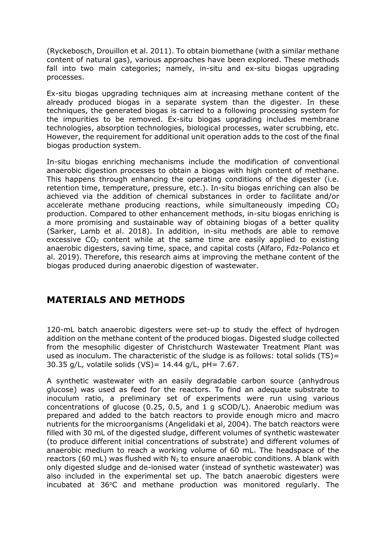(Ryckebosch, Drouillon et al. 2011). To obtain biomethane (with a similar methane content of natural gas), various approaches have been explored. These methods fall into two main categories; namely, in-situ and ex-situ biogas upgrading processes.

Ex-situ biogas upgrading techniques aim at increasing methane content of the already produced biogas in a separate system than the digester. In these techniques, the generated biogas is carried to a following processing system for the impurities to be removed. Ex-situ biogas upgrading includes membrane technologies, absorption technologies, biological processes, water scrubbing, etc. However, the requirement for additional unit operation adds to the cost of the final biogas production system.

In-situ biogas enriching mechanisms include the modification of conventional anaerobic digestion processes to obtain a biogas with high content of methane. This happens through enhancing the operating conditions of the digester (i.e. retention time, temperature, pressure, etc.). In-situ biogas enriching can also be achieved via the addition of chemical substances in order to facilitate and/or accelerate methane producing reactions, while simultaneously impeding  $CO<sub>2</sub>$ production. Compared to other enhancement methods, in-situ biogas enriching is a more promising and sustainable way of obtaining biogas of a better quality (Sarker, Lamb et al. 2018). In addition, in-situ methods are able to remove excessive  $CO<sub>2</sub>$  content while at the same time are easily applied to existing anaerobic digesters, saving time, space, and capital costs (Alfaro, Fdz-Polanco et al. 2019). Therefore, this research aims at improving the methane content of the biogas produced during anaerobic digestion of wastewater.

## **MATERIALS AND METHODS**

120-mL batch anaerobic digesters were set-up to study the effect of hydrogen addition on the methane content of the produced biogas. Digested sludge collected from the mesophilic digester of Christchurch Wastewater Treatment Plant was used as inoculum. The characteristic of the sludge is as follows: total solids  $(TS)$  = 30.35 g/L, volatile solids (VS)= 14.44 g/L, pH= 7.67.

A synthetic wastewater with an easily degradable carbon source (anhydrous glucose) was used as feed for the reactors. To find an adequate substrate to inoculum ratio, a preliminary set of experiments were run using various concentrations of glucose (0.25, 0.5, and 1 g sCOD/L). Anaerobic medium was prepared and added to the batch reactors to provide enough micro and macro nutrients for the microorganisms (Angelidaki et al, 2004). The batch reactors were filled with 30 mL of the digested sludge, different volumes of synthetic wastewater (to produce different initial concentrations of substrate) and different volumes of anaerobic medium to reach a working volume of 60 mL. The headspace of the reactors (60 mL) was flushed with  $N_2$  to ensure anaerobic conditions. A blank with only digested sludge and de-ionised water (instead of synthetic wastewater) was also included in the experimental set up. The batch anaerobic digesters were incubated at 36°C and methane production was monitored regularly. The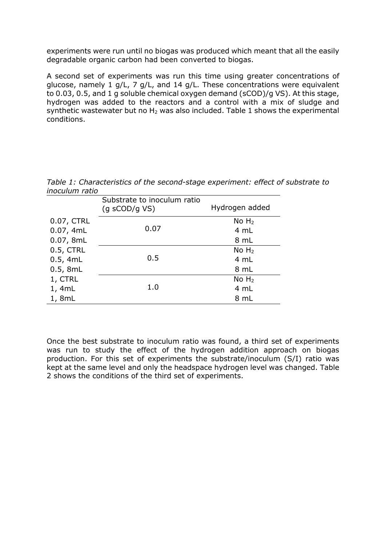experiments were run until no biogas was produced which meant that all the easily degradable organic carbon had been converted to biogas.

A second set of experiments was run this time using greater concentrations of glucose, namely 1 g/L, 7 g/L, and 14 g/L. These concentrations were equivalent to 0.03, 0.5, and 1 g soluble chemical oxygen demand (sCOD)/g VS). At this stage, hydrogen was added to the reactors and a control with a mix of sludge and synthetic wastewater but no  $H_2$  was also included. Table 1 shows the experimental conditions.

*Table 1: Characteristics of the second-stage experiment: effect of substrate to inoculum ratio*

|            | Substrate to inoculum ratio<br>$(g$ sCOD/g VS) | Hydrogen added    |
|------------|------------------------------------------------|-------------------|
| 0.07, CTRL |                                                | No H <sub>2</sub> |
| 0.07, 4mL  | 0.07                                           | 4 mL              |
| 0.07, 8mL  |                                                | 8 mL              |
| 0.5, CTRL  |                                                | No H <sub>2</sub> |
| 0.5, 4mL   | 0.5                                            | 4 mL              |
| 0.5, 8mL   |                                                | 8 mL              |
| 1, CTRL    |                                                | No H <sub>2</sub> |
| 1, 4mL     | 1.0                                            | 4 mL              |
| 1, 8mL     |                                                | 8 mL              |

Once the best substrate to inoculum ratio was found, a third set of experiments was run to study the effect of the hydrogen addition approach on biogas production. For this set of experiments the substrate/inoculum (S/I) ratio was kept at the same level and only the headspace hydrogen level was changed. Table 2 shows the conditions of the third set of experiments.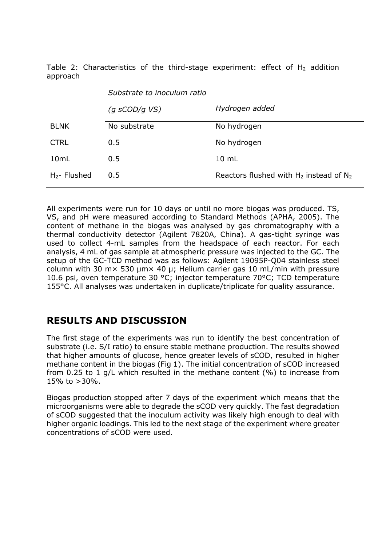Table 2: Characteristics of the third-stage experiment: effect of  $H_2$  addition approach

|                 | Substrate to inoculum ratio |                                              |
|-----------------|-----------------------------|----------------------------------------------|
|                 | $(q$ sCOD/q VS)             | Hydrogen added                               |
| <b>BLNK</b>     | No substrate                | No hydrogen                                  |
| <b>CTRL</b>     | 0.5                         | No hydrogen                                  |
| 10mL            | 0.5                         | $10 \text{ mL}$                              |
| $H_2$ - Flushed | 0.5                         | Reactors flushed with $H_2$ instead of $N_2$ |

All experiments were run for 10 days or until no more biogas was produced. TS, VS, and pH were measured according to Standard Methods (APHA, 2005). The content of methane in the biogas was analysed by gas chromatography with a thermal conductivity detector (Agilent 7820A, China). A gas-tight syringe was used to collect 4-mL samples from the headspace of each reactor. For each analysis, 4 mL of gas sample at atmospheric pressure was injected to the GC. The setup of the GC-TCD method was as follows: Agilent 19095P-Q04 stainless steel column with 30 m $\times$  530 µm $\times$  40 µ; Helium carrier gas 10 mL/min with pressure 10.6 psi, oven temperature 30 °C; injector temperature 70°C; TCD temperature 155°C. All analyses was undertaken in duplicate/triplicate for quality assurance.

# **RESULTS AND DISCUSSION**

The first stage of the experiments was run to identify the best concentration of substrate (i.e. S/I ratio) to ensure stable methane production. The results showed that higher amounts of glucose, hence greater levels of sCOD, resulted in higher methane content in the biogas (Fig 1). The initial concentration of sCOD increased from 0.25 to 1 g/L which resulted in the methane content (%) to increase from 15% to >30%.

Biogas production stopped after 7 days of the experiment which means that the microorganisms were able to degrade the sCOD very quickly. The fast degradation of sCOD suggested that the inoculum activity was likely high enough to deal with higher organic loadings. This led to the next stage of the experiment where greater concentrations of sCOD were used.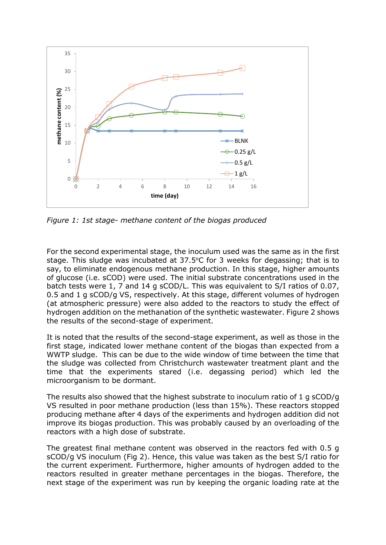

*Figure 1: 1st stage- methane content of the biogas produced*

For the second experimental stage, the inoculum used was the same as in the first stage. This sludge was incubated at  $37.5^{\circ}$ C for 3 weeks for degassing; that is to say, to eliminate endogenous methane production. In this stage, higher amounts of glucose (i.e. sCOD) were used. The initial substrate concentrations used in the batch tests were 1, 7 and 14 g sCOD/L. This was equivalent to S/I ratios of 0.07, 0.5 and 1 g sCOD/g VS, respectively. At this stage, different volumes of hydrogen (at atmospheric pressure) were also added to the reactors to study the effect of hydrogen addition on the methanation of the synthetic wastewater. Figure 2 shows the results of the second-stage of experiment.

It is noted that the results of the second-stage experiment, as well as those in the first stage, indicated lower methane content of the biogas than expected from a WWTP sludge. This can be due to the wide window of time between the time that the sludge was collected from Christchurch wastewater treatment plant and the time that the experiments stared (i.e. degassing period) which led the microorganism to be dormant.

The results also showed that the highest substrate to inoculum ratio of 1 g sCOD/g VS resulted in poor methane production (less than 15%). These reactors stopped producing methane after 4 days of the experiments and hydrogen addition did not improve its biogas production. This was probably caused by an overloading of the reactors with a high dose of substrate.

The greatest final methane content was observed in the reactors fed with 0.5 g sCOD/g VS inoculum (Fig 2). Hence, this value was taken as the best S/I ratio for the current experiment. Furthermore, higher amounts of hydrogen added to the reactors resulted in greater methane percentages in the biogas. Therefore, the next stage of the experiment was run by keeping the organic loading rate at the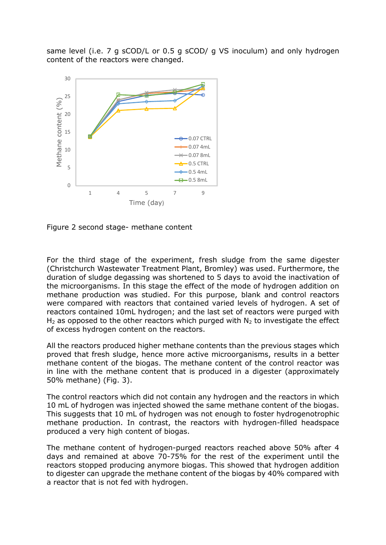same level (i.e. 7 g sCOD/L or 0.5 g sCOD/ g VS inoculum) and only hydrogen content of the reactors were changed.



Figure 2 second stage- methane content

For the third stage of the experiment, fresh sludge from the same digester (Christchurch Wastewater Treatment Plant, Bromley) was used. Furthermore, the duration of sludge degassing was shortened to 5 days to avoid the inactivation of the microorganisms. In this stage the effect of the mode of hydrogen addition on methane production was studied. For this purpose, blank and control reactors were compared with reactors that contained varied levels of hydrogen. A set of reactors contained 10mL hydrogen; and the last set of reactors were purged with  $H_2$  as opposed to the other reactors which purged with  $N_2$  to investigate the effect of excess hydrogen content on the reactors.

All the reactors produced higher methane contents than the previous stages which proved that fresh sludge, hence more active microorganisms, results in a better methane content of the biogas. The methane content of the control reactor was in line with the methane content that is produced in a digester (approximately 50% methane) (Fig. 3).

The control reactors which did not contain any hydrogen and the reactors in which 10 mL of hydrogen was injected showed the same methane content of the biogas. This suggests that 10 mL of hydrogen was not enough to foster hydrogenotrophic methane production. In contrast, the reactors with hydrogen-filled headspace produced a very high content of biogas.

The methane content of hydrogen-purged reactors reached above 50% after 4 days and remained at above 70-75% for the rest of the experiment until the reactors stopped producing anymore biogas. This showed that hydrogen addition to digester can upgrade the methane content of the biogas by 40% compared with a reactor that is not fed with hydrogen.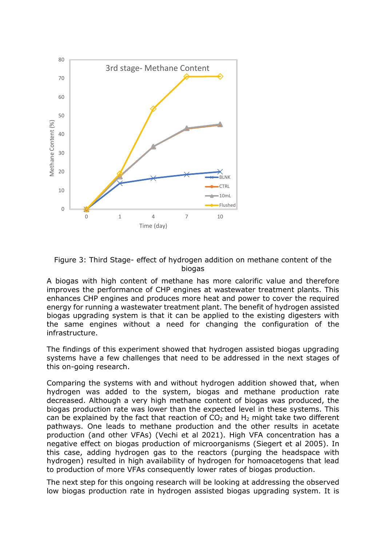

Figure 3: Third Stage- effect of hydrogen addition on methane content of the biogas

A biogas with high content of methane has more calorific value and therefore improves the performance of CHP engines at wastewater treatment plants. This enhances CHP engines and produces more heat and power to cover the required energy for running a wastewater treatment plant. The benefit of hydrogen assisted biogas upgrading system is that it can be applied to the existing digesters with the same engines without a need for changing the configuration of the infrastructure.

The findings of this experiment showed that hydrogen assisted biogas upgrading systems have a few challenges that need to be addressed in the next stages of this on-going research.

Comparing the systems with and without hydrogen addition showed that, when hydrogen was added to the system, biogas and methane production rate decreased. Although a very high methane content of biogas was produced, the biogas production rate was lower than the expected level in these systems. This can be explained by the fact that reaction of  $CO<sub>2</sub>$  and H<sub>2</sub> might take two different pathways. One leads to methane production and the other results in acetate production (and other VFAs) (Vechi et al 2021). High VFA concentration has a negative effect on biogas production of microorganisms (Siegert et al 2005). In this case, adding hydrogen gas to the reactors (purging the headspace with hydrogen) resulted in high availability of hydrogen for homoacetogens that lead to production of more VFAs consequently lower rates of biogas production.

The next step for this ongoing research will be looking at addressing the observed low biogas production rate in hydrogen assisted biogas upgrading system. It is